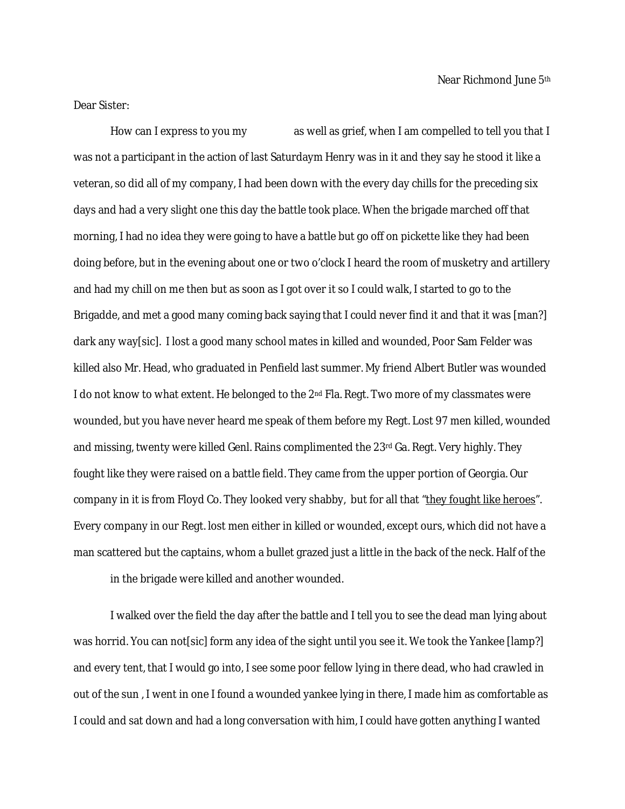Dear Sister:

How can I express to you my as well as grief, when I am compelled to tell you that I was not a participant in the action of last Saturdaym Henry was in it and they say he stood it like a veteran, so did all of my company, I had been down with the every day chills for the preceding six days and had a very slight one this day the battle took place. When the brigade marched off that morning, I had no idea they were going to have a battle but go off on pickette like they had been doing before, but in the evening about one or two o'clock I heard the room of musketry and artillery and had my chill on me then but as soon as I got over it so I could walk, I started to go to the Brigadde, and met a good many coming back saying that I could never find it and that it was [man?] dark any way[sic]. I lost a good many school mates in killed and wounded, Poor Sam Felder was killed also Mr. Head, who graduated in Penfield last summer. My friend Albert Butler was wounded I do not know to what extent. He belonged to the 2<sup>nd</sup> Fla. Regt. Two more of my classmates were wounded, but you have never heard me speak of them before my Regt. Lost 97 men killed, wounded and missing, twenty were killed Genl. Rains complimented the  $23<sup>rd</sup>$  Ga. Regt. Very highly. They fought like they were raised on a battle field. They came from the upper portion of Georgia. Our company in it is from Floyd Co. They looked very shabby, but for all that "they fought like heroes". Every company in our Regt. lost men either in killed or wounded, except ours, which did not have a man scattered but the captains, whom a bullet grazed just a little in the back of the neck. Half of the

in the brigade were killed and another wounded.

I walked over the field the day after the battle and I tell you to see the dead man lying about was horrid. You can not [sic] form any idea of the sight until you see it. We took the Yankee [lamp?] and every tent, that I would go into, I see some poor fellow lying in there dead, who had crawled in out of the sun , I went in one I found a wounded yankee lying in there, I made him as comfortable as I could and sat down and had a long conversation with him, I could have gotten anything I wanted